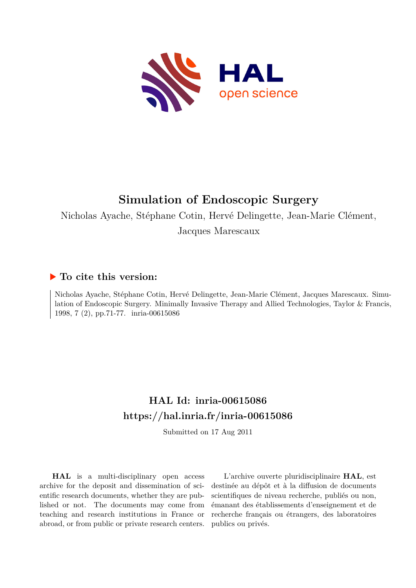

# **Simulation of Endoscopic Surgery**

Nicholas Ayache, Stéphane Cotin, Hervé Delingette, Jean-Marie Clément,

Jacques Marescaux

## **To cite this version:**

Nicholas Ayache, Stéphane Cotin, Hervé Delingette, Jean-Marie Clément, Jacques Marescaux. Simulation of Endoscopic Surgery. Minimally Invasive Therapy and Allied Technologies, Taylor & Francis, 1998, 7 (2), pp.71-77. inria-00615086

# **HAL Id: inria-00615086 <https://hal.inria.fr/inria-00615086>**

Submitted on 17 Aug 2011

**HAL** is a multi-disciplinary open access archive for the deposit and dissemination of scientific research documents, whether they are published or not. The documents may come from teaching and research institutions in France or abroad, or from public or private research centers.

L'archive ouverte pluridisciplinaire **HAL**, est destinée au dépôt et à la diffusion de documents scientifiques de niveau recherche, publiés ou non, émanant des établissements d'enseignement et de recherche français ou étrangers, des laboratoires publics ou privés.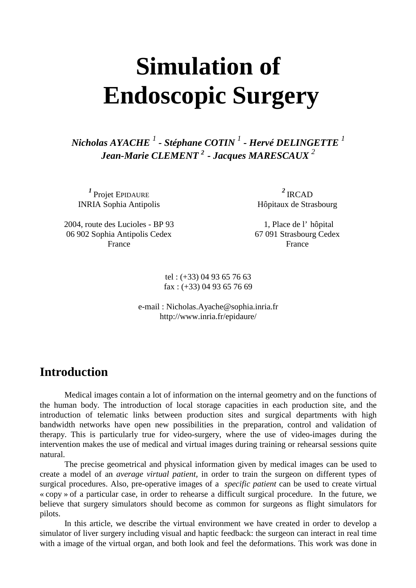# **Simulation of Endoscopic Surgery**

*Nicholas AYACHE <sup>1</sup> - Stéphane COTIN <sup>1</sup> - Hervé DELINGETTE <sup>1</sup> Jean-Marie CLEMENT <sup>2</sup>- Jacques MARESCAUX <sup>2</sup>*

<sup>1</sup> Projet EPIDAURE INRIA Sophia Antipolis

<sup>2</sup>IRCAD Hôpitaux de Strasbourg

2004, route des Lucioles - BP 93 06 902 Sophia Antipolis Cedex France

1, Place de l' hôpital 67 091 Strasbourg Cedex France

tel : (+33) 04 93 65 76 63  $\text{fax}$ : (+33) 04 93 65 76 69

e-mail : Nicholas.Ayache@sophia.inria.fr http://www.inria.fr/epidaure/

# **Introduction**

Medical images contain a lot of information on the internal geometry and on the functions of the human body. The introduction of local storage capacities in each production site, and the introduction of telematic links between production sites and surgical departments with high bandwidth networks have open new possibilities in the preparation, control and validation of therapy. This is particularly true for video-surgery, where the use of video-images during the intervention makes the use of medical and virtual images during training or rehearsal sessions quite natural.

The precise geometrical and physical information given by medical images can be used to create a model of an *average virtual patient,* in order to train the surgeon on different types of surgical procedures. Also, pre-operative images of a *specific patient* can be used to create virtual « copy » of a particular case, in order to rehearse a difficult surgical procedure. In the future, we believe that surgery simulators should become as common for surgeons as flight simulators for pilots.

In this article, we describe the virtual environment we have created in order to develop a simulator of liver surgery including visual and haptic feedback: the surgeon can interact in real time with a image of the virtual organ, and both look and feel the deformations. This work was done in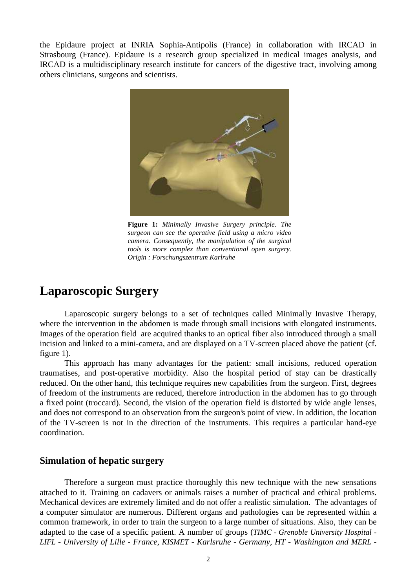the Epidaure project at INRIA Sophia-Antipolis (France) in collaboration with IRCAD in Strasbourg (France). Epidaure is a research group specialized in medical images analysis, and IRCAD is a multidisciplinary research institute for cancers of the digestive tract, involving among others clinicians, surgeons and scientists.



**Figure 1:** *Minimally Invasive Surgery principle. The surgeon can see the operative field using a micro video camera. Consequently, the manipulation of the surgical tools is more complex than conventional open surgery. Origin : Forschungszentrum Karlruhe*

# **Laparoscopic Surgery**

Laparoscopic surgery belongs to a set of techniques called Minimally Invasive Therapy, where the intervention in the abdomen is made through small incisions with elongated instruments. Images of the operation field are acquired thanks to an optical fiber also introduced through a small incision and linked to a mini-camera, and are displayed on a TV-screen placed above the patient (cf. figure 1).

This approach has many advantages for the patient: small incisions, reduced operation traumatises, and post-operative morbidity. Also the hospital period of stay can be drastically reduced. On the other hand, this technique requires new capabilities from the surgeon. First, degrees of freedom of the instruments are reduced, therefore introduction in the abdomen has to go through a fixed point (troccard). Second, the vision of the operation field is distorted by wide angle lenses, and does not correspond to an observation from the surgeon's point of view. In addition, the location of the TV-screen is not in the direction of the instruments. This requires a particular hand-eye coordination.

#### **Simulation of hepatic surgery**

Therefore a surgeon must practice thoroughly this new technique with the new sensations attached to it. Training on cadavers or animals raises a number of practical and ethical problems. Mechanical devices are extremely limited and do not offer a realistic simulation. The advantages of a computer simulator are numerous. Different organs and pathologies can be represented within a common framework, in order to train the surgeon to a large number of situations. Also, they can be adapted to the case of a specific patient. A number of groups (*TIMC - Grenoble University Hospital - LIFL - University of Lille - France, KISMET - Karlsruhe - Germany, HT - Washington and MERL -*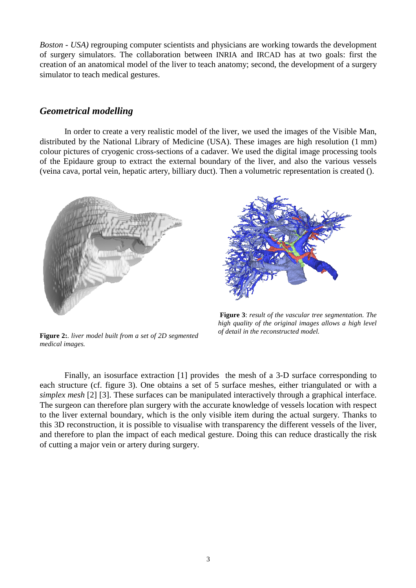*Boston - USA)* regrouping computer scientists and physicians are working towards the development of surgery simulators. The collaboration between INRIA and IRCAD has at two goals: first the creation of an anatomical model of the liver to teach anatomy; second, the development of a surgery simulator to teach medical gestures.

#### *Geometrical modelling*

In order to create a very realistic model of the liver, we used the images of the Visible Man, distributed by the National Library of Medicine (USA). These images are high resolution (1 mm) colour pictures of cryogenic cross-sections of a cadaver. We used the digital image processing tools of the Epidaure group to extract the external boundary of the liver, and also the various vessels (veina cava, portal vein, hepatic artery, billiary duct). Then a volumetric representation is created ().



**Figure 2:***. liver model built from a set of 2D segmented medical images.*



**Figure 3**: *result of the vascular tree segmentation. The high quality of the original images allows a high level of detail in the reconstructed model.*

Finally, an isosurface extraction [1] provides the mesh of a 3-D surface corresponding to each structure (cf. figure 3). One obtains a set of 5 surface meshes, either triangulated or with a *simplex mesh* [2] [3]. These surfaces can be manipulated interactively through a graphical interface. The surgeon can therefore plan surgery with the accurate knowledge of vessels location with respect to the liver external boundary, which is the only visible item during the actual surgery. Thanks to this 3D reconstruction, it is possible to visualise with transparency the different vessels of the liver, and therefore to plan the impact of each medical gesture. Doing this can reduce drastically the risk of cutting a major vein or artery during surgery.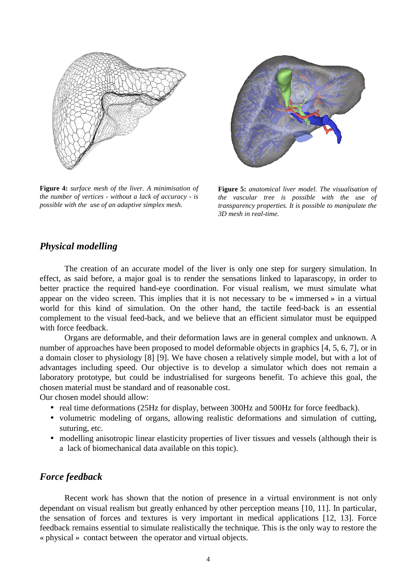

**Figure 4:** *surface mesh of the liver. A minimisation of the number of vertices - without a lack of accuracy - is possible with the use of an adaptive simplex mesh.*



**Figure 5:** *anatomical liver model. The visualisation of the vascular tree is possible with the use of transparency properties. It is possible to manipulate the 3D mesh in real-time.*

#### *Physical modelling*

The creation of an accurate model of the liver is only one step for surgery simulation. In effect, as said before, a major goal is to render the sensations linked to laparascopy, in order to better practice the required hand-eye coordination. For visual realism, we must simulate what appear on the video screen. This implies that it is not necessary to be « immersed » in a virtual world for this kind of simulation. On the other hand, the tactile feed-back is an essential complement to the visual feed-back, and we believe that an efficient simulator must be equipped with force feedback.

Organs are deformable, and their deformation laws are in general complex and unknown. A number of approaches have been proposed to model deformable objects in graphics [4, 5, 6, 7], or in a domain closer to physiology [8] [9]. We have chosen a relatively simple model, but with a lot of advantages including speed. Our objective is to develop a simulator which does not remain a laboratory prototype, but could be industrialised for surgeons benefit. To achieve this goal, the chosen material must be standard and of reasonable cost.

Our chosen model should allow:

- real time deformations (25Hz for display, between 300Hz and 500Hz for force feedback).
- volumetric modeling of organs, allowing realistic deformations and simulation of cutting, suturing, etc.
- modelling anisotropic linear elasticity properties of liver tissues and vessels (although their is a lack of biomechanical data available on this topic).

#### *Force feedback*

Recent work has shown that the notion of presence in a virtual environment is not only dependant on visual realism but greatly enhanced by other perception means [10, 11]. In particular, the sensation of forces and textures is very important in medical applications [12, 13]. Force feedback remains essential to simulate realistically the technique. This is the only way to restore the « physical » contact between the operator and virtual objects.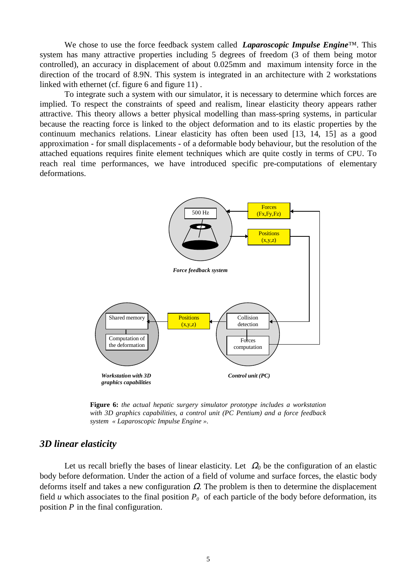We chose to use the force feedback system called *Laparoscopic Impulse Engine*™. This system has many attractive properties including 5 degrees of freedom (3 of them being motor controlled), an accuracy in displacement of about 0.025mm and maximum intensity force in the direction of the trocard of 8.9N. This system is integrated in an architecture with 2 workstations linked with ethernet (cf. figure 6 and figure 11) .

To integrate such a system with our simulator, it is necessary to determine which forces are implied. To respect the constraints of speed and realism, linear elasticity theory appears rather attractive. This theory allows a better physical modelling than mass-spring systems, in particular because the reacting force is linked to the object deformation and to its elastic properties by the continuum mechanics relations. Linear elasticity has often been used [13, 14, 15] as a good approximation - for small displacements - of a deformable body behaviour, but the resolution of the attached equations requires finite element techniques which are quite costly in terms of CPU. To reach real time performances, we have introduced specific pre-computations of elementary deformations.



**Figure 6:** *the actual hepatic surgery simulator prototype includes a workstation with 3D graphics capabilities, a control unit (PC Pentium) and a force feedback system « Laparoscopic Impulse Engine ».*

#### *3D linear elasticity*

Let us recall briefly the bases of linear elasticity. Let  $\Omega_0$  be the configuration of an elastic body before deformation. Under the action of a field of volume and surface forces, the elastic body deforms itself and takes a new configuration  $\Omega$ . The problem is then to determine the displacement field *u* which associates to the final position  $P_\theta$  of each particle of the body before deformation, its position *P* in the final configuration.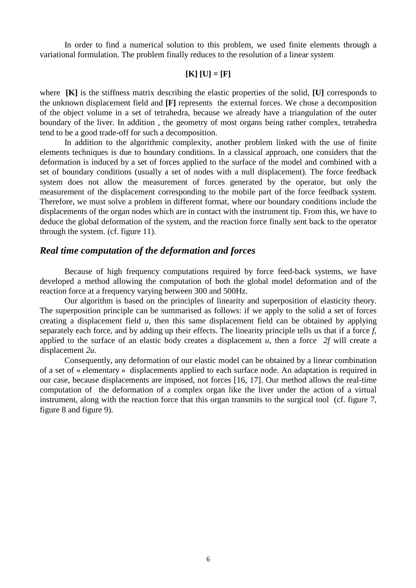In order to find a numerical solution to this problem, we used finite elements through a variational formulation. The problem finally reduces to the resolution of a linear system

#### **[K] [U] = [F]**

where **[K]** is the stiffness matrix describing the elastic properties of the solid, **[U]** corresponds to the unknown displacement field and **[F]** represents the external forces. We chose a decomposition of the object volume in a set of tetrahedra, because we already have a triangulation of the outer boundary of the liver. In addition , the geometry of most organs being rather complex, tetrahedra tend to be a good trade-off for such a decomposition.

In addition to the algorithmic complexity, another problem linked with the use of finite elements techniques is due to boundary conditions. In a classical approach, one considers that the deformation is induced by a set of forces applied to the surface of the model and combined with a set of boundary conditions (usually a set of nodes with a null displacement). The force feedback system does not allow the measurement of forces generated by the operator, but only the measurement of the displacement corresponding to the mobile part of the force feedback system. Therefore, we must solve a problem in different format, where our boundary conditions include the displacements of the organ nodes which are in contact with the instrument tip. From this, we have to deduce the global deformation of the system, and the reaction force finally sent back to the operator through the system. (cf. figure 11).

#### *Real time computation of the deformation and forces*

Because of high frequency computations required by force feed-back systems, we have developed a method allowing the computation of both the global model deformation and of the reaction force at a frequency varying between 300 and 500Hz.

Our algorithm is based on the principles of linearity and superposition of elasticity theory. The superposition principle can be summarised as follows: if we apply to the solid a set of forces creating a displacement field *u*, then this same displacement field can be obtained by applying separately each force, and by adding up their effects. The linearity principle tells us that if a force *f*, applied to the surface of an elastic body creates a displacement *u*, then a force *2f* will create a displacement *2u*.

Consequently, any deformation of our elastic model can be obtained by a linear combination of a set of « elementary » displacements applied to each surface node. An adaptation is required in our case, because displacements are imposed, not forces [16, 17]. Our method allows the real-time computation of the deformation of a complex organ like the liver under the action of a virtual instrument, along with the reaction force that this organ transmits to the surgical tool (cf. figure 7, figure 8 and figure 9).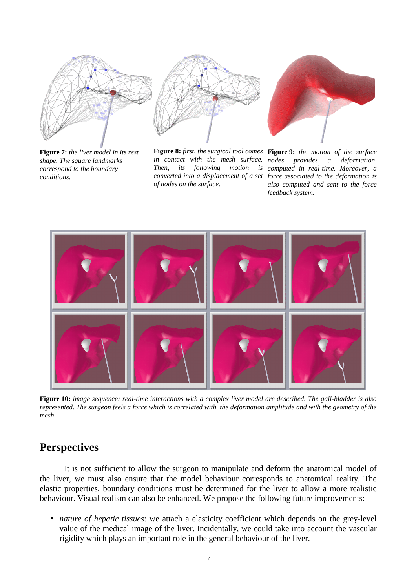

**Figure 7:** *the liver model in its rest shape. The square landmarks correspond to the boundary conditions.*



*in contact with the mesh surface. of nodes on the surface.*



**Figure 8:** *first, the surgical tool comes* **Figure 9:** *the motion of the surface Then, its following motion is computed in real-time. Moreover, a converted into a displacement of a set force associated to the deformation is provides a deformation, also computed and sent to the force feedback system.*



**Figure 10:** *image sequence: real-time interactions with a complex liver model are described. The gall-bladder is also represented. The surgeon feels a force which is correlated with the deformation amplitude and with the geometry of the mesh.*

## **Perspectives**

It is not sufficient to allow the surgeon to manipulate and deform the anatomical model of the liver, we must also ensure that the model behaviour corresponds to anatomical reality. The elastic properties, boundary conditions must be determined for the liver to allow a more realistic behaviour. Visual realism can also be enhanced. We propose the following future improvements:

• *nature of hepatic tissues*: we attach a elasticity coefficient which depends on the grey-level value of the medical image of the liver. Incidentally, we could take into account the vascular rigidity which plays an important role in the general behaviour of the liver.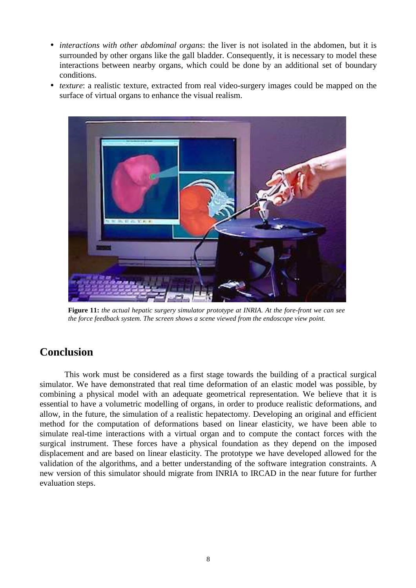- *interactions with other abdominal organs*: the liver is not isolated in the abdomen, but it is surrounded by other organs like the gall bladder. Consequently, it is necessary to model these interactions between nearby organs, which could be done by an additional set of boundary conditions.
- *texture*: a realistic texture, extracted from real video-surgery images could be mapped on the surface of virtual organs to enhance the visual realism.



**Figure 11:** *the actual hepatic surgery simulator prototype at INRIA. At the fore-front we can see the force feedback system. The screen shows a scene viewed from the endoscope view point.*

# **Conclusion**

This work must be considered as a first stage towards the building of a practical surgical simulator. We have demonstrated that real time deformation of an elastic model was possible, by combining a physical model with an adequate geometrical representation. We believe that it is essential to have a volumetric modelling of organs, in order to produce realistic deformations, and allow, in the future, the simulation of a realistic hepatectomy. Developing an original and efficient method for the computation of deformations based on linear elasticity, we have been able to simulate real-time interactions with a virtual organ and to compute the contact forces with the surgical instrument. These forces have a physical foundation as they depend on the imposed displacement and are based on linear elasticity. The prototype we have developed allowed for the validation of the algorithms, and a better understanding of the software integration constraints. A new version of this simulator should migrate from INRIA to IRCAD in the near future for further evaluation steps.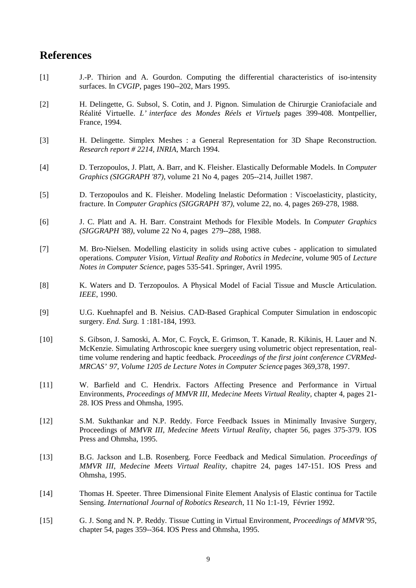## **References**

- [1] J.-P. Thirion and A. Gourdon. Computing the differential characteristics of iso-intensity surfaces. In *CVGIP*, pages 190--202, Mars 1995.
- [2] H. Delingette, G. Subsol, S. Cotin, and J. Pignon. Simulation de Chirurgie Craniofaciale and Réalité Virtuelle. *L' interface des Mondes Réels et Virtuels*, pages 399-408. Montpellier, France, 1994.
- [3] H. Delingette. Simplex Meshes : a General Representation for 3D Shape Reconstruction. *Research report # 2214, INRIA*, March 1994.
- [4] D. Terzopoulos, J. Platt, A. Barr, and K. Fleisher. Elastically Deformable Models. In *Computer Graphics (SIGGRAPH '87)*, volume 21 No 4, pages 205--214, Juillet 1987.
- [5] D. Terzopoulos and K. Fleisher. Modeling Inelastic Deformation : Viscoelasticity, plasticity, fracture. In *Computer Graphics (SIGGRAPH '87)*, volume 22, no. 4, pages 269-278, 1988.
- [6] J. C. Platt and A. H. Barr. Constraint Methods for Flexible Models. In *Computer Graphics (SIGGRAPH '88)*, volume 22 No 4, pages 279--288, 1988.
- [7] M. Bro-Nielsen. Modelling elasticity in solids using active cubes application to simulated operations. *Computer Vision, Virtual Reality and Robotics in Medecine*, volume 905 of *Lecture Notes in Computer Science*, pages 535-541. Springer, Avril 1995.
- [8] K. Waters and D. Terzopoulos. A Physical Model of Facial Tissue and Muscle Articulation. *IEEE*, 1990.
- [9] U.G. Kuehnapfel and B. Neisius. CAD-Based Graphical Computer Simulation in endoscopic surgery. *End. Surg.* 1 :181-184, 1993.
- [10] S. Gibson, J. Samoski, A. Mor, C. Foyck, E. Grimson, T. Kanade, R. Kikinis, H. Lauer and N. McKenzie. Simulating Arthroscopic knee suergery using volumetric object representation, realtime volume rendering and haptic feedback. *Proceedings of the first joint conference CVRMed-MRCAS' 97, Volume 1205 de Lecture Notes in Computer Science*, pages 369,378, 1997.
- [11] W. Barfield and C. Hendrix. Factors Affecting Presence and Performance in Virtual Environments, *Proceedings of MMVR III*, *Medecine Meets Virtual Reality,* chapter 4, pages 21- 28. IOS Press and Ohmsha, 1995.
- [12] S.M. Sukthankar and N.P. Reddy. Force Feedback Issues in Minimally Invasive Surgery, Proceedings of *MMVR III*, *Medecine Meets Virtual Reality,* chapter 56, pages 375-379. IOS Press and Ohmsha, 1995.
- [13] B.G. Jackson and L.B. Rosenberg. Force Feedback and Medical Simulation. *Proceedings of MMVR III*, *Medecine Meets Virtual Reality*, chapitre 24, pages 147-151. IOS Press and Ohmsha, 1995.
- [14] Thomas H. Speeter. Three Dimensional Finite Element Analysis of Elastic continua for Tactile Sensing. *International Journal of Robotics Research*, 11 No 1:1-19, Février 1992.
- [15] G. J. Song and N. P. Reddy. Tissue Cutting in Virtual Environment, *Proceedings of MMVR'95,* chapter 54, pages 359--364. IOS Press and Ohmsha, 1995.